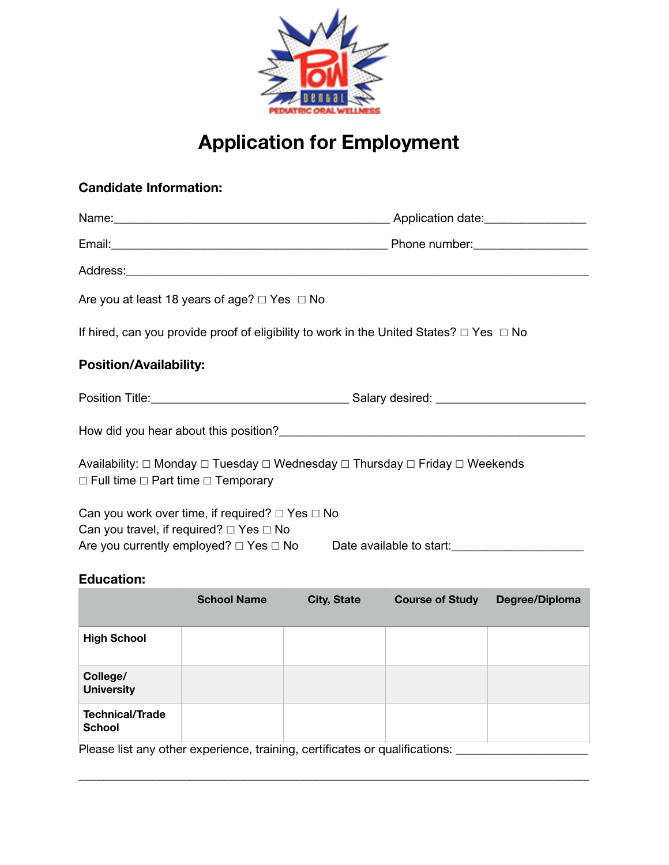

# **Application for Employment**

# **Candidate Information:**

| Are you at least 18 years of age? $\Box$ Yes $\Box$ No                                                                            |  |  |  |
|-----------------------------------------------------------------------------------------------------------------------------------|--|--|--|
| If hired, can you provide proof of eligibility to work in the United States? $\Box$ Yes $\Box$ No                                 |  |  |  |
| <b>Position/Availability:</b>                                                                                                     |  |  |  |
|                                                                                                                                   |  |  |  |
|                                                                                                                                   |  |  |  |
| Availability: □ Monday □ Tuesday □ Wednesday □ Thursday □ Friday □ Weekends<br>$\Box$ Full time $\Box$ Part time $\Box$ Temporary |  |  |  |
| Can you work over time, if required? $\Box$ Yes $\Box$ No                                                                         |  |  |  |
| Can you travel, if required? $\Box$ Yes $\Box$ No                                                                                 |  |  |  |
| Are you currently employed? □ Yes □ No Date available to start: ________________                                                  |  |  |  |
| <b>Education:</b>                                                                                                                 |  |  |  |

|                                         | <b>School Name</b> | <b>City, State</b> | <b>Course of Study</b> | Degree/Diploma |
|-----------------------------------------|--------------------|--------------------|------------------------|----------------|
| <b>High School</b>                      |                    |                    |                        |                |
| College/<br><b>University</b>           |                    |                    |                        |                |
| <b>Technical/Trade</b><br><b>School</b> |                    |                    |                        |                |

\_\_\_\_\_\_\_\_\_\_\_\_\_\_\_\_\_\_\_\_\_\_\_\_\_\_\_\_\_\_\_\_\_\_\_\_\_\_\_\_\_\_\_\_\_\_\_\_\_\_\_\_\_\_\_\_\_\_\_\_\_\_\_\_\_\_\_\_\_\_\_\_\_\_\_\_\_\_\_\_\_\_\_\_\_

Please list any other experience, training, certificates or qualifications: \_\_\_\_\_\_\_\_\_\_\_\_\_\_\_\_\_\_\_\_\_\_\_\_\_\_\_\_\_\_\_\_\_\_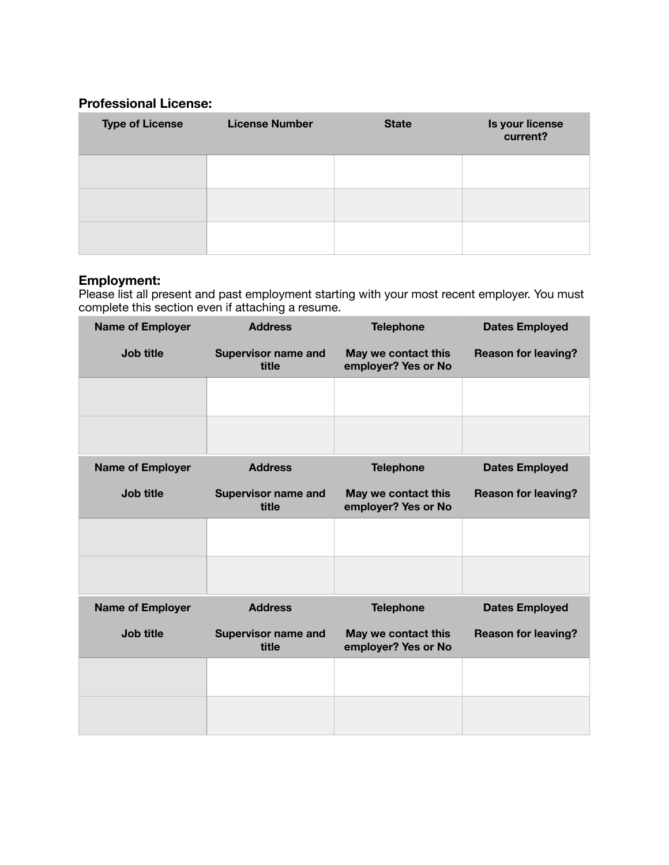## **Professional License:**

| <b>Type of License</b> | <b>License Number</b> | <b>State</b> | Is your license<br>current? |
|------------------------|-----------------------|--------------|-----------------------------|
|                        |                       |              |                             |
|                        |                       |              |                             |
|                        |                       |              |                             |

### **Employment:**

Please list all present and past employment starting with your most recent employer. You must complete this section even if attaching a resume.

| <b>Name of Employer</b> | <b>Address</b>                      | <b>Telephone</b>                           | <b>Dates Employed</b>      |
|-------------------------|-------------------------------------|--------------------------------------------|----------------------------|
| Job title               | <b>Supervisor name and</b><br>title | May we contact this<br>employer? Yes or No | <b>Reason for leaving?</b> |
|                         |                                     |                                            |                            |
|                         |                                     |                                            |                            |
| <b>Name of Employer</b> | <b>Address</b>                      | <b>Telephone</b>                           | <b>Dates Employed</b>      |
| Job title               | <b>Supervisor name and</b><br>title | May we contact this<br>employer? Yes or No | <b>Reason for leaving?</b> |
|                         |                                     |                                            |                            |
|                         |                                     |                                            |                            |
| <b>Name of Employer</b> | <b>Address</b>                      | <b>Telephone</b>                           | <b>Dates Employed</b>      |
| Job title               | <b>Supervisor name and</b><br>title | May we contact this<br>employer? Yes or No | <b>Reason for leaving?</b> |
|                         |                                     |                                            |                            |
|                         |                                     |                                            |                            |